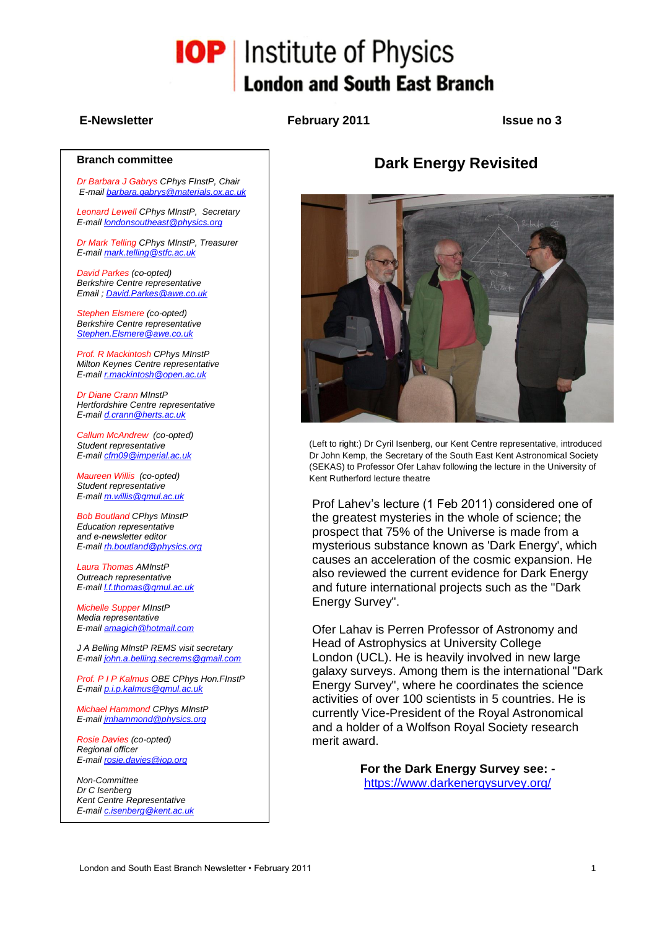# **IOP** Institute of Physics **London and South East Branch**

#### **E-Newsletter February 2011 Issue no 3**

#### **Branch committee**

*Dr Barbara J Gabrys CPhys FInstP, Chair E-mai[l barbara.gabrys@materials.ox.ac.uk](mailto:barbara.gabrys@materials.ox.ac.uk)*

*Leonard Lewell CPhys MInstP, Secretary E-mai[l londonsoutheast@physics.org](mailto:londonsoutheast@physics.org)*

*Dr Mark Telling CPhys MInstP, Treasurer E-mai[l mark.telling@stfc.ac.uk](mailto:mark.telling@stfc.ac.uk)*

*David Parkes (co-opted) Berkshire Centre representative Email [; David.Parkes@awe.co.uk](mailto:David.Parkes@awe.co.uk)*

*Stephen Elsmere (co-opted) Berkshire Centre representative [Stephen.Elsmere@awe.co.uk](mailto:Stephen.Elsmere@awe.co.uk)*

*Prof. R Mackintosh CPhys MInstP Milton Keynes Centre representative E-mai[l r.mackintosh@open.ac.uk](mailto:r.mackintosh@open.ac.uk)*

*Dr Diane Crann MInstP Hertfordshire Centre representative E-mail [d.crann@herts.ac.uk](mailto:d.crann@herts.ac.uk)*

*Callum McAndrew (co-opted) Student representative E-mai[l cfm09@imperial.ac.uk](mailto:cfm09@imperial.ac.uk)*

*Maureen Willis (co-opted) Student representative E-mai[l m.willis@qmul.ac.uk](mailto:m.willis@qmul.ac.uk)*

*Bob Boutland CPhys MInstP Education representative and e-newsletter editor E-mai[l rh.boutland@physics.org](mailto:rh.boutland@physics.org)*

*Laura Thomas AMInstP Outreach representative E-mai[l l.f.thomas@qmul.ac.uk](mailto:l.f.thomas@qmul.ac.uk)*

*Michelle Supper MInstP Media representative E-mai[l amagich@hotmail.com](mailto:amagich@hotmail.com)*

*J A Belling MInstP REMS visit secretary E-mai[l john.a.belling.secrems@gmail.com](mailto:john.a.belling.secrems@gmail.com)*

*Prof. P I P Kalmus OBE CPhys Hon.FInstP E-mai[l p.i.p.kalmus@qmul.ac.uk](mailto:p.i.p.kalmus@qmul.ac.uk)*

*Michael Hammond CPhys MInstP E-mai[l jmhammond@physics.org](mailto:jmhammond@physics.org)*

*Rosie Davies (co-opted) Regional officer E-mai[l rosie.davies@iop.org](mailto:rosie.davies@iop.org)*

*Non-Committee Dr C Isenberg Kent Centre Representative E-mai[l c.isenberg@kent.ac.uk](mailto:c.isenberg@kent.ac.uk)*

# **Dark Energy Revisited**



(Left to right:) Dr Cyril Isenberg, our Kent Centre representative, introduced Dr John Kemp, the Secretary of the South East Kent Astronomical Society (SEKAS) to Professor Ofer Lahav following the lecture in the University of Kent Rutherford lecture theatre

Prof Lahev's lecture (1 Feb 2011) considered one of the greatest mysteries in the whole of science; the prospect that 75% of the Universe is made from a mysterious substance known as 'Dark Energy', which causes an acceleration of the cosmic expansion. He also reviewed the current evidence for Dark Energy and future international projects such as the "Dark Energy Survey".

Ofer Lahav is Perren Professor of Astronomy and Head of Astrophysics at University College London (UCL). He is heavily involved in new large galaxy surveys. Among them is the international "Dark Energy Survey", where he coordinates the science activities of over 100 scientists in 5 countries. He is currently Vice-President of the Royal Astronomical and a holder of a Wolfson Royal Society research merit award.

> **For the Dark Energy Survey see:**  <https://www.darkenergysurvey.org/>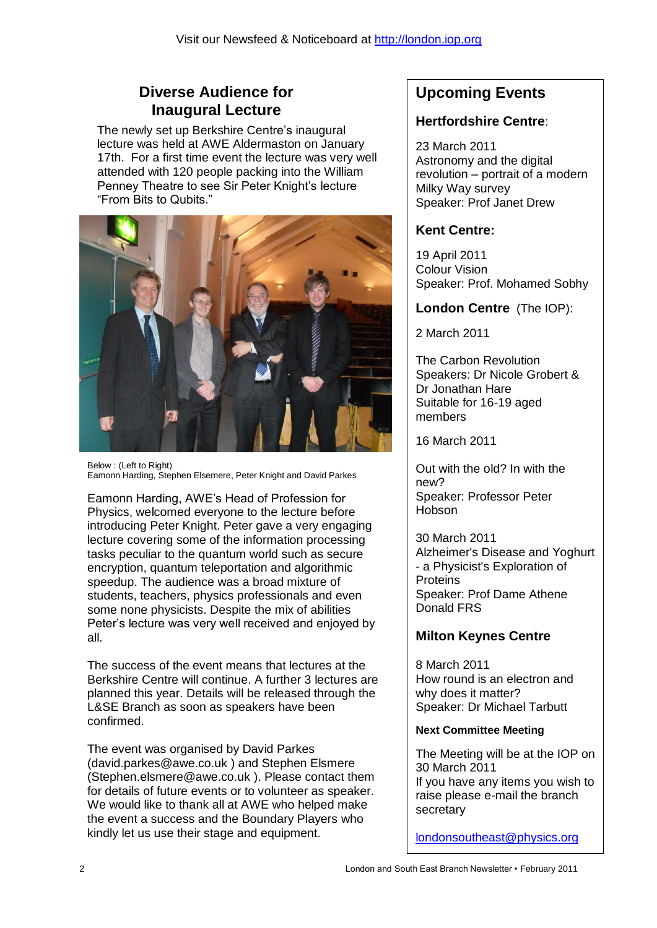# **Diverse Audience for Inaugural Lecture**

The newly set up Berkshire Centre's inaugural lecture was held at AWE Aldermaston on January 17th. For a first time event the lecture was very well attended with 120 people packing into the William Penney Theatre to see Sir Peter Knight's lecture "From Bits to Qubits."



Below : (Left to Right) Eamonn Harding, Stephen Elsemere, Peter Knight and David Parkes

Eamonn Harding, AWE's Head of Profession for Physics, welcomed everyone to the lecture before introducing Peter Knight. Peter gave a very engaging lecture covering some of the information processing tasks peculiar to the quantum world such as secure encryption, quantum teleportation and algorithmic speedup. The audience was a broad mixture of students, teachers, physics professionals and even some none physicists. Despite the mix of abilities Peter's lecture was very well received and enjoyed by all.

The success of the event means that lectures at the Berkshire Centre will continue. A further 3 lectures are planned this year. Details will be released through the L&SE Branch as soon as speakers have been confirmed.

The event was organised by David Parkes [\(david.parkes@awe.co.uk](mailto:david.parkes@awe.co.uk) ) and Stephen Elsmere [\(Stephen.elsmere@awe.co.uk](mailto:Stephen.elsmere@awe.co.uk) ). Please contact them for details of future events or to volunteer as speaker. We would like to thank all at AWE who helped make the event a success and the Boundary Players who kindly let us use their stage and equipment.

# **Upcoming Events**

# **Hertfordshire Centre**:

23 March 2011 Astronomy and the digital revolution – portrait of a modern Milky Way survey Speaker: Prof Janet Drew

# **Kent Centre:**

19 April 2011 Colour Vision Speaker: Prof. Mohamed Sobhy

# **London Centre** (The IOP):

2 March 2011

The Carbon Revolution Speakers: Dr Nicole Grobert & Dr Jonathan Hare Suitable for 16-19 aged members

16 March 2011

Out with the old? In with the new? Speaker: Professor Peter Hobson

30 March 2011 Alzheimer's Disease and Yoghurt - a Physicist's Exploration of **Proteins** Speaker: Prof Dame Athene Donald FRS

# **Milton Keynes Centre**

8 March 2011 How round is an electron and why does it matter? Speaker: Dr Michael Tarbutt

## **Next Committee Meeting**

The Meeting will be at the IOP on 30 March 2011 If you have any items you wish to raise please e-mail the branch secretary

[londonsoutheast@physics.org](mailto:londonsoutheast@physics.org)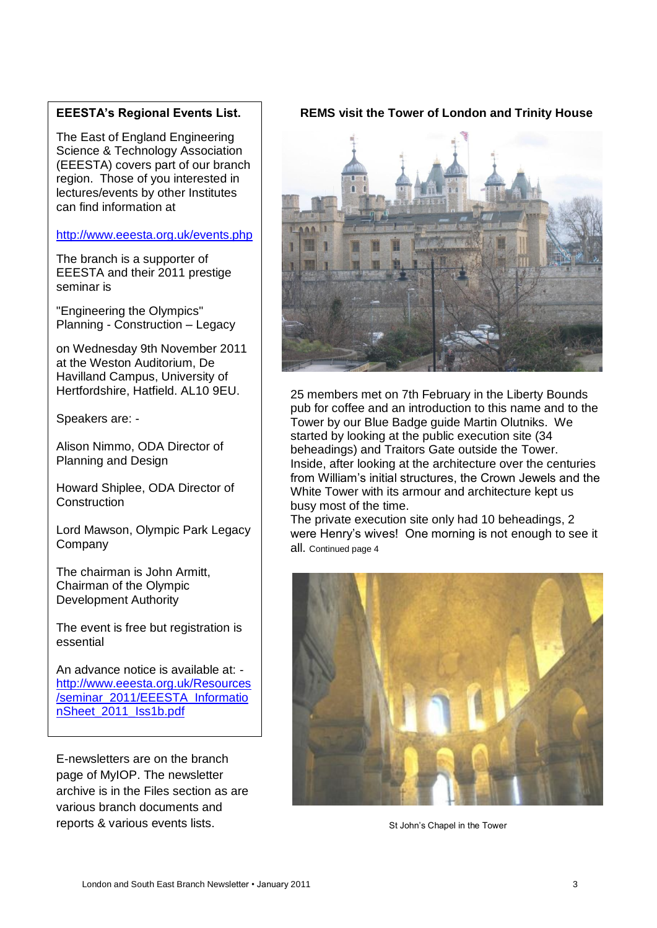#### **EEESTA's Regional Events List.**

The East of England Engineering Science & Technology Association (EEESTA) covers part of our branch region. Those of you interested in lectures/events by other Institutes can find information at

#### <http://www.eeesta.org.uk/events.php>

The branch is a supporter of EEESTA and their 2011 prestige seminar is

"Engineering the Olympics" Planning - Construction – Legacy

on Wednesday 9th November 2011 at the Weston Auditorium, De Havilland Campus, University of Hertfordshire, Hatfield. AL10 9EU.

Speakers are: -

Alison Nimmo, ODA Director of Planning and Design

Howard Shiplee, ODA Director of **Construction** 

Lord Mawson, Olympic Park Legacy Company

The chairman is John Armitt, Chairman of the Olympic Development Authority

The event is free but registration is essential

An advance notice is available at: [http://www.eeesta.org.uk/Resources](http://www.eeesta.org.uk/Resources/seminar_2011/EEESTA_InformationSheet_2011_Iss1b.pdf) [/seminar\\_2011/EEESTA\\_Informatio](http://www.eeesta.org.uk/Resources/seminar_2011/EEESTA_InformationSheet_2011_Iss1b.pdf) [nSheet\\_2011\\_Iss1b.pdf](http://www.eeesta.org.uk/Resources/seminar_2011/EEESTA_InformationSheet_2011_Iss1b.pdf)

E-newsletters are on the branch page of MyIOP. The newsletter archive is in the Files section as are various branch documents and reports & various events lists.

#### **REMS visit the Tower of London and Trinity House**



25 members met on 7th February in the Liberty Bounds pub for coffee and an introduction to this name and to the Tower by our Blue Badge guide Martin Olutniks. We started by looking at the public execution site (34 beheadings) and Traitors Gate outside the Tower. Inside, after looking at the architecture over the centuries from William's initial structures, the Crown Jewels and the White Tower with its armour and architecture kept us busy most of the time.

The private execution site only had 10 beheadings, 2 were Henry's wives! One morning is not enough to see it all. Continued page 4



St John's Chapel in the Tower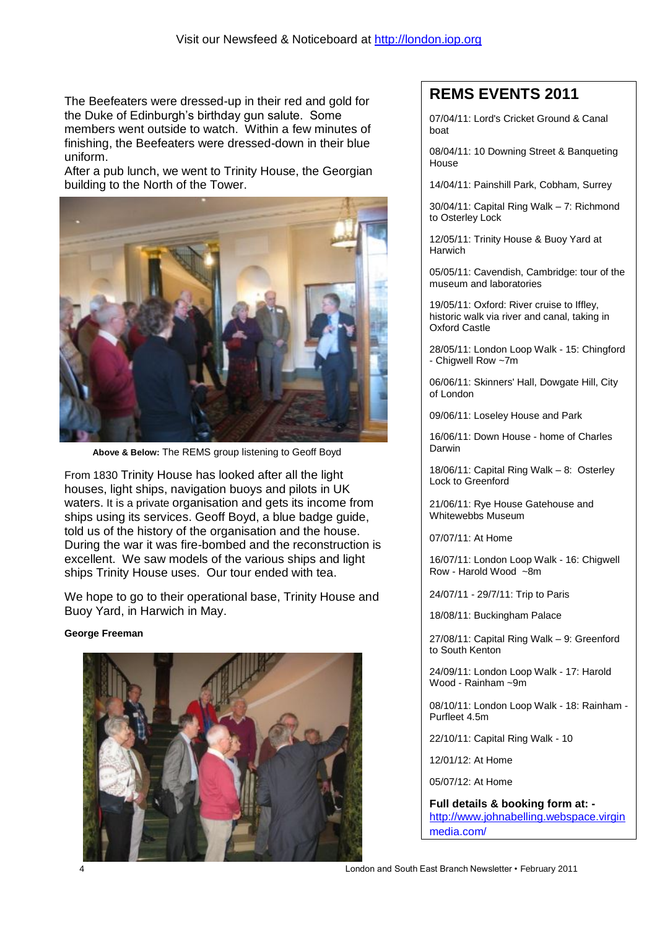The Beefeaters were dressed-up in their red and gold for the Duke of Edinburgh's birthday gun salute. Some members went outside to watch. Within a few minutes of finishing, the Beefeaters were dressed-down in their blue uniform.

After a pub lunch, we went to Trinity House, the Georgian building to the North of the Tower.



**Above & Below:** The REMS group listening to Geoff Boyd

From 1830 Trinity House has looked after all the light houses, light ships, navigation buoys and pilots in UK waters. It is a private organisation and gets its income from ships using its services. Geoff Boyd, a blue badge guide, told us of the history of the organisation and the house. During the war it was fire-bombed and the reconstruction is excellent. We saw models of the various ships and light ships Trinity House uses. Our tour ended with tea.

We hope to go to their operational base, Trinity House and Buoy Yard, in Harwich in May.

#### **George Freeman**



# **REMS EVENTS 2011**

07/04/11: Lord's Cricket Ground & Canal boat

08/04/11: 10 Downing Street & Banqueting House

14/04/11: Painshill Park, Cobham, Surrey

30/04/11: Capital Ring Walk – 7: Richmond to Osterley Lock

12/05/11: Trinity House & Buoy Yard at **Harwich** 

05/05/11: Cavendish, Cambridge: tour of the museum and laboratories

19/05/11: Oxford: River cruise to Iffley, historic walk via river and canal, taking in Oxford Castle

28/05/11: London Loop Walk - 15: Chingford - Chigwell Row ~7m

06/06/11: Skinners' Hall, Dowgate Hill, City of London

09/06/11: Loseley House and Park

16/06/11: Down House - home of Charles Darwin

18/06/11: Capital Ring Walk – 8: Osterley Lock to Greenford

21/06/11: Rye House Gatehouse and Whitewebbs Museum

07/07/11: At Home

16/07/11: London Loop Walk - 16: Chigwell Row - Harold Wood ~8m

24/07/11 - 29/7/11: Trip to Paris

18/08/11: Buckingham Palace

27/08/11: Capital Ring Walk – 9: Greenford to South Kenton

24/09/11: London Loop Walk - 17: Harold Wood - Rainham ~9m

08/10/11: London Loop Walk - 18: Rainham - Purfleet 4.5m

22/10/11: Capital Ring Walk - 10

12/01/12: At Home

05/07/12: At Home

**Full details & booking form at:**  [http://www.johnabelling.webspace.virgin](http://www.johnabelling.webspace.virginmedia.com/) [media.com/](http://www.johnabelling.webspace.virginmedia.com/)